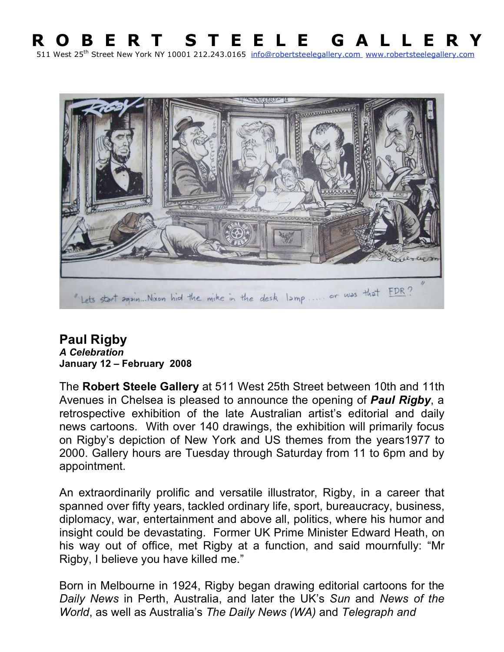## **R O B E R T S T E E L E G A L L E R Y** 511 West 25<sup>th</sup> Street New York NY 10001 212.243.0165 info@robertsteelegallery.com www.robertsteelegallery.com



## **Paul Rigby** *A Celebration* **January 12 – February 2008**

The **Robert Steele Gallery** at 511 West 25th Street between 10th and 11th Avenues in Chelsea is pleased to announce the opening of *Paul Rigby*, a retrospective exhibition of the late Australian artist's editorial and daily news cartoons. With over 140 drawings, the exhibition will primarily focus on Rigby's depiction of New York and US themes from the years1977 to 2000. Gallery hours are Tuesday through Saturday from 11 to 6pm and by appointment.

An extraordinarily prolific and versatile illustrator, Rigby, in a career that spanned over fifty years, tackled ordinary life, sport, bureaucracy, business, diplomacy, war, entertainment and above all, politics, where his humor and insight could be devastating. Former UK Prime Minister Edward Heath, on his way out of office, met Rigby at a function, and said mournfully: "Mr Rigby, I believe you have killed me."

Born in Melbourne in 1924, Rigby began drawing editorial cartoons for the *Daily News* in Perth, Australia, and later the UK's *Sun* and *News of the World*, as well as Australia's *The Daily News (WA)* and *Telegraph and*